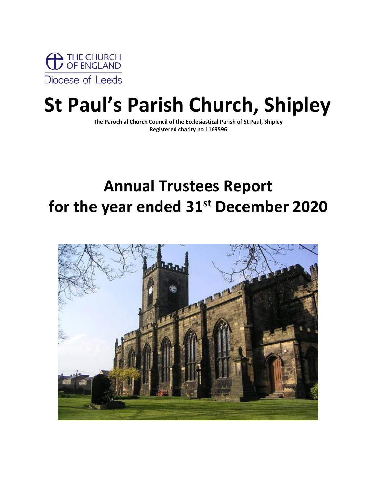

# **St Paul's Parish Church, Shipley**

**The Parochial Church Council of the Ecclesiastical Parish of St Paul, Shipley Registered charity no 1169596**

# **Annual Trustees Report for the year ended 31st December 2020**

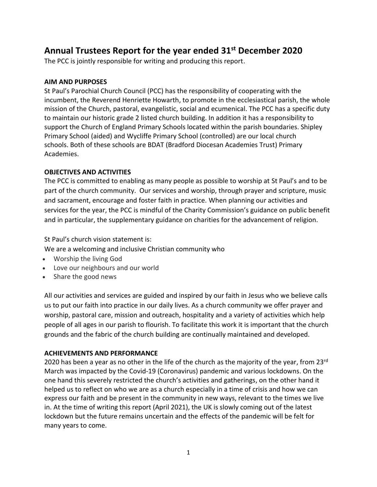# **Annual Trustees Report for the year ended 31st December 2020**

The PCC is jointly responsible for writing and producing this report.

# **AIM AND PURPOSES**

St Paul's Parochial Church Council (PCC) has the responsibility of cooperating with the incumbent, the Reverend Henriette Howarth, to promote in the ecclesiastical parish, the whole mission of the Church, pastoral, evangelistic, social and ecumenical. The PCC has a specific duty to maintain our historic grade 2 listed church building. In addition it has a responsibility to support the Church of England Primary Schools located within the parish boundaries. Shipley Primary School (aided) and Wycliffe Primary School (controlled) are our local church schools. Both of these schools are BDAT (Bradford Diocesan Academies Trust) Primary Academies.

# **OBJECTIVES AND ACTIVITIES**

The PCC is committed to enabling as many people as possible to worship at St Paul's and to be part of the church community. Our services and worship, through prayer and scripture, music and sacrament, encourage and foster faith in practice. When planning our activities and services for the year, the PCC is mindful of the Charity Commission's guidance on public benefit and in particular, the supplementary guidance on charities for the advancement of religion.

St Paul's church vision statement is:

We are a welcoming and inclusive Christian community who

- Worship the living God
- Love our neighbours and our world
- Share the good news

All our activities and services are guided and inspired by our faith in Jesus who we believe calls us to put our faith into practice in our daily lives. As a church community we offer prayer and worship, pastoral care, mission and outreach, hospitality and a variety of activities which help people of all ages in our parish to flourish. To facilitate this work it is important that the church grounds and the fabric of the church building are continually maintained and developed.

# **ACHIEVEMENTS AND PERFORMANCE**

2020 has been a year as no other in the life of the church as the majority of the year, from 23rd March was impacted by the Covid-19 (Coronavirus) pandemic and various lockdowns. On the one hand this severely restricted the church's activities and gatherings, on the other hand it helped us to reflect on who we are as a church especially in a time of crisis and how we can express our faith and be present in the community in new ways, relevant to the times we live in. At the time of writing this report (April 2021), the UK is slowly coming out of the latest lockdown but the future remains uncertain and the effects of the pandemic will be felt for many years to come.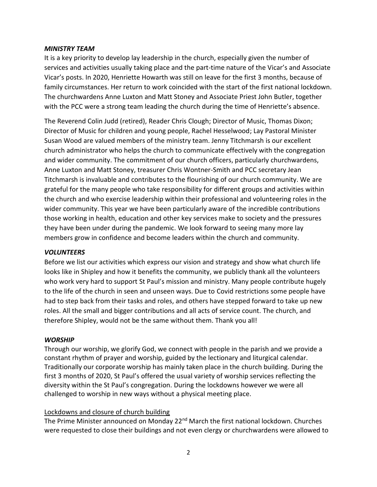#### *MINISTRY TEAM*

It is a key priority to develop lay leadership in the church, especially given the number of services and activities usually taking place and the part-time nature of the Vicar's and Associate Vicar's posts. In 2020, Henriette Howarth was still on leave for the first 3 months, because of family circumstances. Her return to work coincided with the start of the first national lockdown. The churchwardens Anne Luxton and Matt Stoney and Associate Priest John Butler, together with the PCC were a strong team leading the church during the time of Henriette's absence.

The Reverend Colin Judd (retired), Reader Chris Clough; Director of Music, Thomas Dixon; Director of Music for children and young people, Rachel Hesselwood; Lay Pastoral Minister Susan Wood are valued members of the ministry team. Jenny Titchmarsh is our excellent church administrator who helps the church to communicate effectively with the congregation and wider community. The commitment of our church officers, particularly churchwardens, Anne Luxton and Matt Stoney, treasurer Chris Wontner-Smith and PCC secretary Jean Titchmarsh is invaluable and contributes to the flourishing of our church community. We are grateful for the many people who take responsibility for different groups and activities within the church and who exercise leadership within their professional and volunteering roles in the wider community. This year we have been particularly aware of the incredible contributions those working in health, education and other key services make to society and the pressures they have been under during the pandemic. We look forward to seeing many more lay members grow in confidence and become leaders within the church and community.

#### *VOLUNTEERS*

Before we list our activities which express our vision and strategy and show what church life looks like in Shipley and how it benefits the community, we publicly thank all the volunteers who work very hard to support St Paul's mission and ministry. Many people contribute hugely to the life of the church in seen and unseen ways. Due to Covid restrictions some people have had to step back from their tasks and roles, and others have stepped forward to take up new roles. All the small and bigger contributions and all acts of service count. The church, and therefore Shipley, would not be the same without them. Thank you all!

#### *WORSHIP*

Through our worship, we glorify God, we connect with people in the parish and we provide a constant rhythm of prayer and worship, guided by the lectionary and liturgical calendar. Traditionally our corporate worship has mainly taken place in the church building. During the first 3 months of 2020, St Paul's offered the usual variety of worship services reflecting the diversity within the St Paul's congregation. During the lockdowns however we were all challenged to worship in new ways without a physical meeting place.

#### Lockdowns and closure of church building

The Prime Minister announced on Monday 22<sup>nd</sup> March the first national lockdown. Churches were requested to close their buildings and not even clergy or churchwardens were allowed to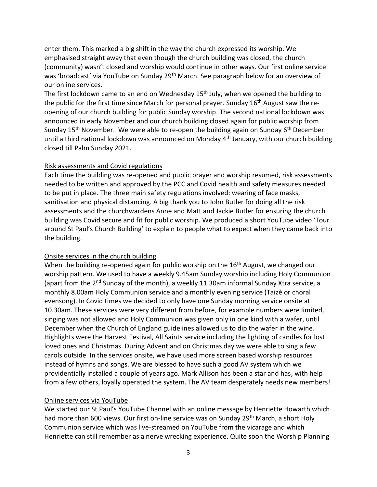enter them. This marked a big shift in the way the church expressed its worship. We emphasised straight away that even though the church building was closed, the church (community) wasn't closed and worship would continue in other ways. Our first online service was 'broadcast' via YouTube on Sunday 29<sup>th</sup> March. See paragraph below for an overview of our online services.

The first lockdown came to an end on Wednesday 15<sup>th</sup> July, when we opened the building to the public for the first time since March for personal prayer. Sunday  $16<sup>th</sup>$  August saw the reopening of our church building for public Sunday worship. The second national lockdown was announced in early November and our church building closed again for public worship from Sunday 15<sup>th</sup> November. We were able to re-open the building again on Sunday 6<sup>th</sup> December until a third national lockdown was announced on Monday 4<sup>th</sup> January, with our church building closed till Palm Sunday 2021.

#### Risk assessments and Covid regulations

Each time the building was re-opened and public prayer and worship resumed, risk assessments needed to be written and approved by the PCC and Covid health and safety measures needed to be put in place. The three main safety regulations involved: wearing of face masks, sanitisation and physical distancing. A big thank you to John Butler for doing all the risk assessments and the churchwardens Anne and Matt and Jackie Butler for ensuring the church building was Covid secure and fit for public worship. We produced a short YouTube video 'Tour around St Paul's Church Building' to explain to people what to expect when they came back into the building.

# Onsite services in the church building

When the building re-opened again for public worship on the 16<sup>th</sup> August, we changed our worship pattern. We used to have a weekly 9.45am Sunday worship including Holy Communion (apart from the  $2^{nd}$  Sunday of the month), a weekly 11.30am informal Sunday Xtra service, a monthly 8.00am Holy Communion service and a monthly evening service (Taizé or choral evensong). In Covid times we decided to only have one Sunday morning service onsite at 10.30am. These services were very different from before, for example numbers were limited, singing was not allowed and Holy Communion was given only in one kind with a wafer, until December when the Church of England guidelines allowed us to dip the wafer in the wine. Highlights were the Harvest Festival, All Saints service including the lighting of candles for lost loved ones and Christmas. During Advent and on Christmas day we were able to sing a few carols outside. In the services onsite, we have used more screen based worship resources instead of hymns and songs. We are blessed to have such a good AV system which we providentially installed a couple of years ago. Mark Allison has been a star and has, with help from a few others, loyally operated the system. The AV team desperately needs new members!

# Online services via YouTube

We started our St Paul's YouTube Channel with an online message by Henriette Howarth which had more than 600 views. Our first on-line service was on Sunday 29<sup>th</sup> March, a short Holy Communion service which was live-streamed on YouTube from the vicarage and which Henriette can still remember as a nerve wrecking experience. Quite soon the Worship Planning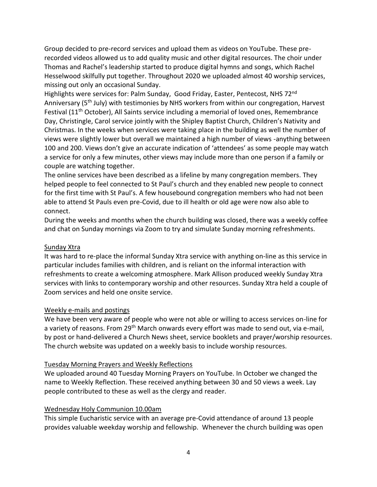Group decided to pre-record services and upload them as videos on YouTube. These prerecorded videos allowed us to add quality music and other digital resources. The choir under Thomas and Rachel's leadership started to produce digital hymns and songs, which Rachel Hesselwood skilfully put together. Throughout 2020 we uploaded almost 40 worship services, missing out only an occasional Sunday.

Highlights were services for: Palm Sunday, Good Friday, Easter, Pentecost, NHS 72<sup>nd</sup> Anniversary (5<sup>th</sup> July) with testimonies by NHS workers from within our congregation, Harvest Festival ( $11<sup>th</sup>$  October), All Saints service including a memorial of loved ones, Remembrance Day, Christingle, Carol service jointly with the Shipley Baptist Church, Children's Nativity and Christmas. In the weeks when services were taking place in the building as well the number of views were slightly lower but overall we maintained a high number of views -anything between 100 and 200. Views don't give an accurate indication of 'attendees' as some people may watch a service for only a few minutes, other views may include more than one person if a family or couple are watching together.

The online services have been described as a lifeline by many congregation members. They helped people to feel connected to St Paul's church and they enabled new people to connect for the first time with St Paul's. A few housebound congregation members who had not been able to attend St Pauls even pre-Covid, due to ill health or old age were now also able to connect.

During the weeks and months when the church building was closed, there was a weekly coffee and chat on Sunday mornings via Zoom to try and simulate Sunday morning refreshments.

# Sunday Xtra

It was hard to re-place the informal Sunday Xtra service with anything on-line as this service in particular includes families with children, and is reliant on the informal interaction with refreshments to create a welcoming atmosphere. Mark Allison produced weekly Sunday Xtra services with links to contemporary worship and other resources. Sunday Xtra held a couple of Zoom services and held one onsite service.

# Weekly e-mails and postings

We have been very aware of people who were not able or willing to access services on-line for a variety of reasons. From 29<sup>th</sup> March onwards every effort was made to send out, via e-mail, by post or hand-delivered a Church News sheet, service booklets and prayer/worship resources. The church website was updated on a weekly basis to include worship resources.

#### Tuesday Morning Prayers and Weekly Reflections

We uploaded around 40 Tuesday Morning Prayers on YouTube. In October we changed the name to Weekly Reflection. These received anything between 30 and 50 views a week. Lay people contributed to these as well as the clergy and reader.

#### Wednesday Holy Communion 10.00am

This simple Eucharistic service with an average pre-Covid attendance of around 13 people provides valuable weekday worship and fellowship. Whenever the church building was open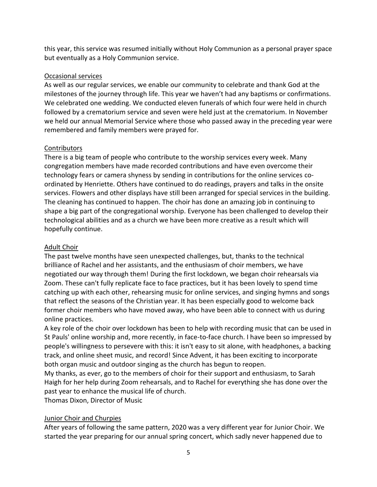this year, this service was resumed initially without Holy Communion as a personal prayer space but eventually as a Holy Communion service.

# Occasional services

As well as our regular services, we enable our community to celebrate and thank God at the milestones of the journey through life. This year we haven't had any baptisms or confirmations. We celebrated one wedding. We conducted eleven funerals of which four were held in church followed by a crematorium service and seven were held just at the crematorium. In November we held our annual Memorial Service where those who passed away in the preceding year were remembered and family members were prayed for.

# Contributors

There is a big team of people who contribute to the worship services every week. Many congregation members have made recorded contributions and have even overcome their technology fears or camera shyness by sending in contributions for the online services coordinated by Henriette. Others have continued to do readings, prayers and talks in the onsite services. Flowers and other displays have still been arranged for special services in the building. The cleaning has continued to happen. The choir has done an amazing job in continuing to shape a big part of the congregational worship. Everyone has been challenged to develop their technological abilities and as a church we have been more creative as a result which will hopefully continue.

# Adult Choir

The past twelve months have seen unexpected challenges, but, thanks to the technical brilliance of Rachel and her assistants, and the enthusiasm of choir members, we have negotiated our way through them! During the first lockdown, we began choir rehearsals via Zoom. These can't fully replicate face to face practices, but it has been lovely to spend time catching up with each other, rehearsing music for online services, and singing hymns and songs that reflect the seasons of the Christian year. It has been especially good to welcome back former choir members who have moved away, who have been able to connect with us during online practices.

A key role of the choir over lockdown has been to help with recording music that can be used in St Pauls' online worship and, more recently, in face-to-face church. I have been so impressed by people's willingness to persevere with this: it isn't easy to sit alone, with headphones, a backing track, and online sheet music, and record! Since Advent, it has been exciting to incorporate both organ music and outdoor singing as the church has begun to reopen.

My thanks, as ever, go to the members of choir for their support and enthusiasm, to Sarah Haigh for her help during Zoom rehearsals, and to Rachel for everything she has done over the past year to enhance the musical life of church.

Thomas Dixon, Director of Music

# Junior Choir and Churpies

After years of following the same pattern, 2020 was a very different year for Junior Choir. We started the year preparing for our annual spring concert, which sadly never happened due to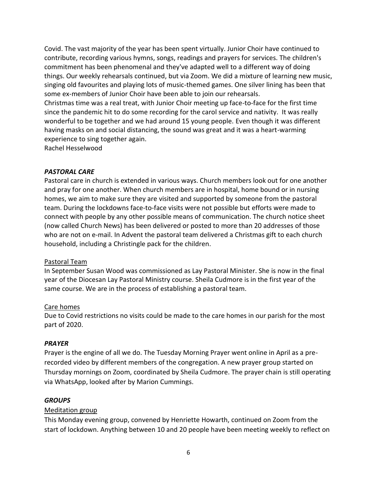Covid. The vast majority of the year has been spent virtually. Junior Choir have continued to contribute, recording various hymns, songs, readings and prayers for services. The children's commitment has been phenomenal and they've adapted well to a different way of doing things. Our weekly rehearsals continued, but via Zoom. We did a mixture of learning new music, singing old favourites and playing lots of music-themed games. One silver lining has been that some ex-members of Junior Choir have been able to join our rehearsals.

Christmas time was a real treat, with Junior Choir meeting up face-to-face for the first time since the pandemic hit to do some recording for the carol service and nativity. It was really wonderful to be together and we had around 15 young people. Even though it was different having masks on and social distancing, the sound was great and it was a heart-warming experience to sing together again.

Rachel Hesselwood

#### *PASTORAL CARE*

Pastoral care in church is extended in various ways. Church members look out for one another and pray for one another. When church members are in hospital, home bound or in nursing homes, we aim to make sure they are visited and supported by someone from the pastoral team. During the lockdowns face-to-face visits were not possible but efforts were made to connect with people by any other possible means of communication. The church notice sheet (now called Church News) has been delivered or posted to more than 20 addresses of those who are not on e-mail. In Advent the pastoral team delivered a Christmas gift to each church household, including a Christingle pack for the children.

# Pastoral Team

In September Susan Wood was commissioned as Lay Pastoral Minister. She is now in the final year of the Diocesan Lay Pastoral Ministry course. Sheila Cudmore is in the first year of the same course. We are in the process of establishing a pastoral team.

#### Care homes

Due to Covid restrictions no visits could be made to the care homes in our parish for the most part of 2020.

#### *PRAYER*

Prayer is the engine of all we do. The Tuesday Morning Prayer went online in April as a prerecorded video by different members of the congregation. A new prayer group started on Thursday mornings on Zoom, coordinated by Sheila Cudmore. The prayer chain is still operating via WhatsApp, looked after by Marion Cummings.

#### *GROUPS*

# Meditation group

This Monday evening group, convened by Henriette Howarth, continued on Zoom from the start of lockdown. Anything between 10 and 20 people have been meeting weekly to reflect on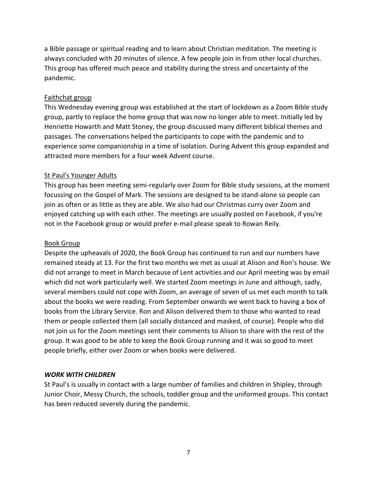a Bible passage or spiritual reading and to learn about Christian meditation. The meeting is always concluded with 20 minutes of silence. A few people join in from other local churches. This group has offered much peace and stability during the stress and uncertainty of the pandemic.

#### Faithchat group

This Wednesday evening group was established at the start of lockdown as a Zoom Bible study group, partly to replace the home group that was now no longer able to meet. Initially led by Henriette Howarth and Matt Stoney, the group discussed many different biblical themes and passages. The conversations helped the participants to cope with the pandemic and to experience some companionship in a time of isolation. During Advent this group expanded and attracted more members for a four week Advent course.

#### St Paul's Younger Adults

This group has been meeting semi-regularly over Zoom for Bible study sessions, at the moment focussing on the Gospel of Mark. The sessions are designed to be stand-alone so people can join as often or as little as they are able. We also had our Christmas curry over Zoom and enjoyed catching up with each other. The meetings are usually posted on Facebook, if you're not in the Facebook group or would prefer e-mail please speak to Rowan Reily.

#### Book Group

Despite the upheavals of 2020, the Book Group has continued to run and our numbers have remained steady at 13. For the first two months we met as usual at Alison and Ron's house. We did not arrange to meet in March because of Lent activities and our April meeting was by email which did not work particularly well. We started Zoom meetings in June and although, sadly, several members could not cope with Zoom, an average of seven of us met each month to talk about the books we were reading. From September onwards we went back to having a box of books from the Library Service. Ron and Alison delivered them to those who wanted to read them or people collected them (all socially distanced and masked, of course). People who did not join us for the Zoom meetings sent their comments to Alison to share with the rest of the group. It was good to be able to keep the Book Group running and it was so good to meet people briefly, either over Zoom or when books were delivered.

#### *WORK WITH CHILDREN*

St Paul's is usually in contact with a large number of families and children in Shipley, through Junior Choir, Messy Church, the schools, toddler group and the uniformed groups. This contact has been reduced severely during the pandemic.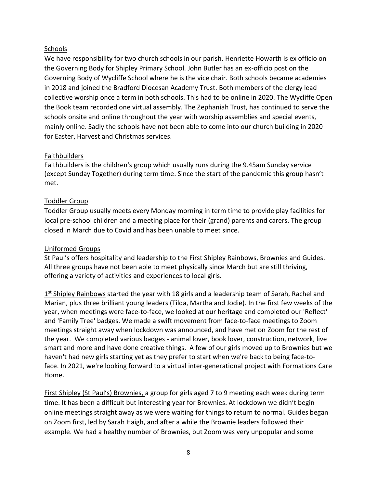# Schools

We have responsibility for two church schools in our parish. Henriette Howarth is ex officio on the Governing Body for Shipley Primary School. John Butler has an ex-officio post on the Governing Body of Wycliffe School where he is the vice chair. Both schools became academies in 2018 and joined the Bradford Diocesan Academy Trust. Both members of the clergy lead collective worship once a term in both schools. This had to be online in 2020. The Wycliffe Open the Book team recorded one virtual assembly. The Zephaniah Trust, has continued to serve the schools onsite and online throughout the year with worship assemblies and special events, mainly online. Sadly the schools have not been able to come into our church building in 2020 for Easter, Harvest and Christmas services.

#### **Faithbuilders**

Faithbuilders is the children's group which usually runs during the 9.45am Sunday service (except Sunday Together) during term time. Since the start of the pandemic this group hasn't met.

# Toddler Group

Toddler Group usually meets every Monday morning in term time to provide play facilities for local pre-school children and a meeting place for their (grand) parents and carers. The group closed in March due to Covid and has been unable to meet since.

#### Uniformed Groups

St Paul's offers hospitality and leadership to the First Shipley Rainbows, Brownies and Guides. All three groups have not been able to meet physically since March but are still thriving, offering a variety of activities and experiences to local girls.

1<sup>st</sup> Shipley Rainbows started the year with 18 girls and a leadership team of Sarah, Rachel and Marian, plus three brilliant young leaders (Tilda, Martha and Jodie). In the first few weeks of the year, when meetings were face-to-face, we looked at our heritage and completed our 'Reflect' and 'Family Tree' badges. We made a swift movement from face-to-face meetings to Zoom meetings straight away when lockdown was announced, and have met on Zoom for the rest of the year. We completed various badges - animal lover, book lover, construction, network, live smart and more and have done creative things. A few of our girls moved up to Brownies but we haven't had new girls starting yet as they prefer to start when we're back to being face-toface. In 2021, we're looking forward to a virtual inter-generational project with Formations Care Home.

First Shipley (St Paul's) Brownies, a group for girls aged 7 to 9 meeting each week during term time. It has been a difficult but interesting year for Brownies. At lockdown we didn't begin online meetings straight away as we were waiting for things to return to normal. Guides began on Zoom first, led by Sarah Haigh, and after a while the Brownie leaders followed their example. We had a healthy number of Brownies, but Zoom was very unpopular and some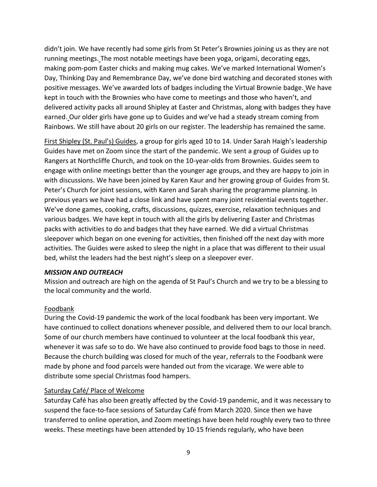didn't join. We have recently had some girls from St Peter's Brownies joining us as they are not running meetings. The most notable meetings have been yoga, origami, decorating eggs, making pom-pom Easter chicks and making mug cakes. We've marked International Women's Day, Thinking Day and Remembrance Day, we've done bird watching and decorated stones with positive messages. We've awarded lots of badges including the Virtual Brownie badge. We have kept in touch with the Brownies who have come to meetings and those who haven't, and delivered activity packs all around Shipley at Easter and Christmas, along with badges they have earned. Our older girls have gone up to Guides and we've had a steady stream coming from Rainbows. We still have about 20 girls on our register. The leadership has remained the same.

First Shipley (St. Paul's) Guides, a group for girls aged 10 to 14. Under Sarah Haigh's leadership Guides have met on Zoom since the start of the pandemic. We sent a group of Guides up to Rangers at Northcliffe Church, and took on the 10-year-olds from Brownies. Guides seem to engage with online meetings better than the younger age groups, and they are happy to join in with discussions. We have been joined by Karen Kaur and her growing group of Guides from St. Peter's Church for joint sessions, with Karen and Sarah sharing the programme planning. In previous years we have had a close link and have spent many joint residential events together. We've done games, cooking, crafts, discussions, quizzes, exercise, relaxation techniques and various badges. We have kept in touch with all the girls by delivering Easter and Christmas packs with activities to do and badges that they have earned. We did a virtual Christmas sleepover which began on one evening for activities, then finished off the next day with more activities. The Guides were asked to sleep the night in a place that was different to their usual bed, whilst the leaders had the best night's sleep on a sleepover ever.

#### *MISSION AND OUTREACH*

Mission and outreach are high on the agenda of St Paul's Church and we try to be a blessing to the local community and the world.

# Foodbank

During the Covid-19 pandemic the work of the local foodbank has been very important. We have continued to collect donations whenever possible, and delivered them to our local branch. Some of our church members have continued to volunteer at the local foodbank this year, whenever it was safe so to do. We have also continued to provide food bags to those in need. Because the church building was closed for much of the year, referrals to the Foodbank were made by phone and food parcels were handed out from the vicarage. We were able to distribute some special Christmas food hampers.

#### Saturday Café/ Place of Welcome

Saturday Café has also been greatly affected by the Covid-19 pandemic, and it was necessary to suspend the face-to-face sessions of Saturday Café from March 2020. Since then we have transferred to online operation, and Zoom meetings have been held roughly every two to three weeks. These meetings have been attended by 10-15 friends regularly, who have been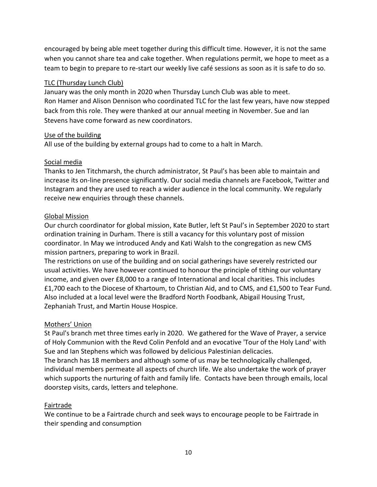encouraged by being able meet together during this difficult time. However, it is not the same when you cannot share tea and cake together. When regulations permit, we hope to meet as a team to begin to prepare to re-start our weekly live café sessions as soon as it is safe to do so.

# TLC (Thursday Lunch Club)

January was the only month in 2020 when Thursday Lunch Club was able to meet. Ron Hamer and Alison Dennison who coordinated TLC for the last few years, have now stepped back from this role. They were thanked at our annual meeting in November. Sue and Ian Stevens have come forward as new coordinators.

#### Use of the building

All use of the building by external groups had to come to a halt in March.

#### Social media

Thanks to Jen Titchmarsh, the church administrator, St Paul's has been able to maintain and increase its on-line presence significantly. Our social media channels are Facebook, Twitter and Instagram and they are used to reach a wider audience in the local community. We regularly receive new enquiries through these channels.

#### Global Mission

Our church coordinator for global mission, Kate Butler, left St Paul's in September 2020 to start ordination training in Durham. There is still a vacancy for this voluntary post of mission coordinator. In May we introduced Andy and Kati Walsh to the congregation as new CMS mission partners, preparing to work in Brazil.

The restrictions on use of the building and on social gatherings have severely restricted our usual activities. We have however continued to honour the principle of tithing our voluntary income, and given over £8,000 to a range of International and local charities. This includes £1,700 each to the Diocese of Khartoum, to Christian Aid, and to CMS, and £1,500 to Tear Fund. Also included at a local level were the Bradford North Foodbank, Abigail Housing Trust, Zephaniah Trust, and Martin House Hospice.

# Mothers' Union

St Paul's branch met three times early in 2020. We gathered for the Wave of Prayer, a service of Holy Communion with the Revd Colin Penfold and an evocative 'Tour of the Holy Land' with Sue and Ian Stephens which was followed by delicious Palestinian delicacies.

The branch has 18 members and although some of us may be technologically challenged, individual members permeate all aspects of church life. We also undertake the work of prayer which supports the nurturing of faith and family life. Contacts have been through emails, local doorstep visits, cards, letters and telephone.

# **Fairtrade**

We continue to be a Fairtrade church and seek ways to encourage people to be Fairtrade in their spending and consumption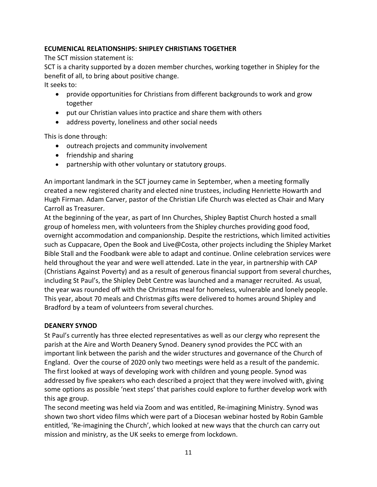# **ECUMENICAL RELATIONSHIPS: SHIPLEY CHRISTIANS TOGETHER**

The SCT mission statement is:

SCT is a charity supported by a dozen member churches, working together in Shipley for the benefit of all, to bring about positive change.

It seeks to:

- provide opportunities for Christians from different backgrounds to work and grow together
- put our Christian values into practice and share them with others
- address poverty, loneliness and other social needs

This is done through:

- outreach projects and community involvement
- friendship and sharing
- partnership with other voluntary or statutory groups.

An important landmark in the SCT journey came in September, when a meeting formally created a new registered charity and elected nine trustees, including Henriette Howarth and Hugh Firman. Adam Carver, pastor of the Christian Life Church was elected as Chair and Mary Carroll as Treasurer.

At the beginning of the year, as part of Inn Churches, Shipley Baptist Church hosted a small group of homeless men, with volunteers from the Shipley churches providing good food, overnight accommodation and companionship. Despite the restrictions, which limited activities such as Cuppacare, Open the Book and Live@Costa, other projects including the Shipley Market Bible Stall and the Foodbank were able to adapt and continue. Online celebration services were held throughout the year and were well attended. Late in the year, in partnership with CAP (Christians Against Poverty) and as a result of generous financial support from several churches, including St Paul's, the Shipley Debt Centre was launched and a manager recruited. As usual, the year was rounded off with the Christmas meal for homeless, vulnerable and lonely people. This year, about 70 meals and Christmas gifts were delivered to homes around Shipley and Bradford by a team of volunteers from several churches.

# **DEANERY SYNOD**

St Paul's currently has three elected representatives as well as our clergy who represent the parish at the Aire and Worth Deanery Synod. Deanery synod provides the PCC with an important link between the parish and the wider structures and governance of the Church of England. Over the course of 2020 only two meetings were held as a result of the pandemic. The first looked at ways of developing work with children and young people. Synod was addressed by five speakers who each described a project that they were involved with, giving some options as possible 'next steps' that parishes could explore to further develop work with this age group.

The second meeting was held via Zoom and was entitled, Re-imagining Ministry. Synod was shown two short video films which were part of a Diocesan webinar hosted by Robin Gamble entitled, 'Re-imagining the Church', which looked at new ways that the church can carry out mission and ministry, as the UK seeks to emerge from lockdown.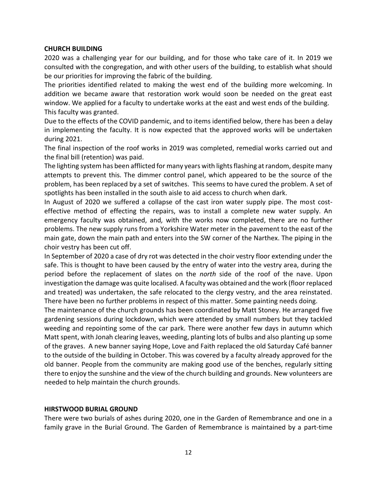#### **CHURCH BUILDING**

2020 was a challenging year for our building, and for those who take care of it. In 2019 we consulted with the congregation, and with other users of the building, to establish what should be our priorities for improving the fabric of the building.

The priorities identified related to making the west end of the building more welcoming. In addition we became aware that restoration work would soon be needed on the great east window. We applied for a faculty to undertake works at the east and west ends of the building. This faculty was granted.

Due to the effects of the COVID pandemic, and to items identified below, there has been a delay in implementing the faculty. It is now expected that the approved works will be undertaken during 2021.

The final inspection of the roof works in 2019 was completed, remedial works carried out and the final bill (retention) was paid.

The lighting system has been afflicted for many years with lights flashing at random, despite many attempts to prevent this. The dimmer control panel, which appeared to be the source of the problem, has been replaced by a set of switches. This seems to have cured the problem. A set of spotlights has been installed in the south aisle to aid access to church when dark.

In August of 2020 we suffered a collapse of the cast iron water supply pipe. The most costeffective method of effecting the repairs, was to install a complete new water supply. An emergency faculty was obtained, and*,* with the works now completed, there are no further problems. The new supply runs from a Yorkshire Water meter in the pavement to the east of the main gate, down the main path and enters into the SW corner of the Narthex. The piping in the choir vestry has been cut off.

In September of 2020 a case of dry rot was detected in the choir vestry floor extending under the safe. This is thought to have been caused by the entry of water into the vestry area, during the period before the replacement of slates on the *north* side of the roof of the nave. Upon investigation the damage was quite localised. A faculty was obtained and the work (floor replaced and treated) was undertaken, the safe relocated to the clergy vestry, and the area reinstated. There have been no further problems in respect of this matter. Some painting needs doing.

The maintenance of the church grounds has been coordinated by Matt Stoney. He arranged five gardening sessions during lockdown, which were attended by small numbers but they tackled weeding and repointing some of the car park. There were another few days in autumn which Matt spent, with Jonah clearing leaves, weeding, planting lots of bulbs and also planting up some of the graves. A new banner saying Hope, Love and Faith replaced the old Saturday Café banner to the outside of the building in October. This was covered by a faculty already approved for the old banner. People from the community are making good use of the benches, regularly sitting there to enjoy the sunshine and the view of the church building and grounds. New volunteers are needed to help maintain the church grounds.

#### **HIRSTWOOD BURIAL GROUND**

There were two burials of ashes during 2020, one in the Garden of Remembrance and one in a family grave in the Burial Ground. The Garden of Remembrance is maintained by a part-time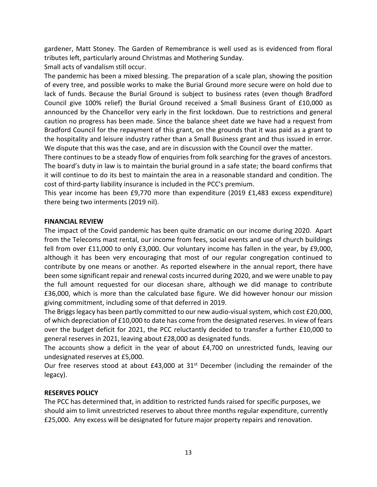gardener, Matt Stoney. The Garden of Remembrance is well used as is evidenced from floral tributes left, particularly around Christmas and Mothering Sunday.

Small acts of vandalism still occur.

The pandemic has been a mixed blessing. The preparation of a scale plan, showing the position of every tree, and possible works to make the Burial Ground more secure were on hold due to lack of funds. Because the Burial Ground is subject to business rates (even though Bradford Council give 100% relief) the Burial Ground received a Small Business Grant of £10,000 as announced by the Chancellor very early in the first lockdown. Due to restrictions and general caution no progress has been made. Since the balance sheet date we have had a request from Bradford Council for the repayment of this grant, on the grounds that it was paid as a grant to the hospitality and leisure industry rather than a Small Business grant and thus issued in error. We dispute that this was the case, and are in discussion with the Council over the matter.

There continues to be a steady flow of enquiries from folk searching for the graves of ancestors. The board's duty in law is to maintain the burial ground in a safe state; the board confirms that it will continue to do its best to maintain the area in a reasonable standard and condition. The cost of third-party liability insurance is included in the PCC's premium.

This year income has been £9,770 more than expenditure (2019 £1,483 excess expenditure) there being two interments (2019 nil).

#### **FINANCIAL REVIEW**

The impact of the Covid pandemic has been quite dramatic on our income during 2020. Apart from the Telecoms mast rental, our income from fees, social events and use of church buildings fell from over £11,000 to only £3,000. Our voluntary income has fallen in the year, by £9,000, although it has been very encouraging that most of our regular congregation continued to contribute by one means or another. As reported elsewhere in the annual report, there have been some significant repair and renewal costs incurred during 2020, and we were unable to pay the full amount requested for our diocesan share, although we did manage to contribute £36,000, which is more than the calculated base figure. We did however honour our mission giving commitment, including some of that deferred in 2019.

The Briggs legacy has been partly committed to our new audio-visual system, which cost £20,000, of which depreciation of £10,000 to date has come from the designated reserves. In view of fears over the budget deficit for 2021, the PCC reluctantly decided to transfer a further £10,000 to general reserves in 2021, leaving about £28,000 as designated funds.

The accounts show a deficit in the year of about £4,700 on unrestricted funds, leaving our undesignated reserves at £5,000.

Our free reserves stood at about  $£43,000$  at  $31<sup>st</sup>$  December (including the remainder of the legacy).

#### **RESERVES POLICY**

The PCC has determined that, in addition to restricted funds raised for specific purposes, we should aim to limit unrestricted reserves to about three months regular expenditure, currently £25,000. Any excess will be designated for future major property repairs and renovation.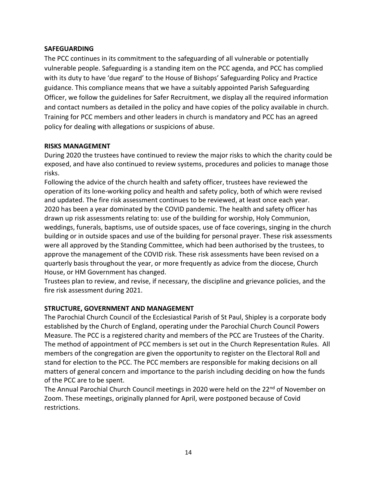#### **SAFEGUARDING**

The PCC continues in its commitment to the safeguarding of all vulnerable or potentially vulnerable people. Safeguarding is a standing item on the PCC agenda, and PCC has complied with its duty to have 'due regard' to the House of Bishops' Safeguarding Policy and Practice guidance. This compliance means that we have a suitably appointed Parish Safeguarding Officer, we follow the guidelines for Safer Recruitment, we display all the required information and contact numbers as detailed in the policy and have copies of the policy available in church. Training for PCC members and other leaders in church is mandatory and PCC has an agreed policy for dealing with allegations or suspicions of abuse.

#### **RISKS MANAGEMENT**

During 2020 the trustees have continued to review the major risks to which the charity could be exposed, and have also continued to review systems, procedures and policies to manage those risks.

Following the advice of the church health and safety officer, trustees have reviewed the operation of its lone-working policy and health and safety policy, both of which were revised and updated. The fire risk assessment continues to be reviewed, at least once each year. 2020 has been a year dominated by the COVID pandemic. The health and safety officer has drawn up risk assessments relating to: use of the building for worship, Holy Communion, weddings, funerals, baptisms, use of outside spaces, use of face coverings, singing in the church building or in outside spaces and use of the building for personal prayer. These risk assessments were all approved by the Standing Committee, which had been authorised by the trustees, to approve the management of the COVID risk. These risk assessments have been revised on a quarterly basis throughout the year, or more frequently as advice from the diocese, Church House, or HM Government has changed.

Trustees plan to review, and revise, if necessary, the discipline and grievance policies, and the fire risk assessment during 2021.

# **STRUCTURE, GOVERNMENT AND MANAGEMENT**

The Parochial Church Council of the Ecclesiastical Parish of St Paul, Shipley is a corporate body established by the Church of England, operating under the Parochial Church Council Powers Measure. The PCC is a registered charity and members of the PCC are Trustees of the Charity. The method of appointment of PCC members is set out in the Church Representation Rules. All members of the congregation are given the opportunity to register on the Electoral Roll and stand for election to the PCC. The PCC members are responsible for making decisions on all matters of general concern and importance to the parish including deciding on how the funds of the PCC are to be spent.

The Annual Parochial Church Council meetings in 2020 were held on the 22<sup>nd</sup> of November on Zoom. These meetings, originally planned for April, were postponed because of Covid restrictions.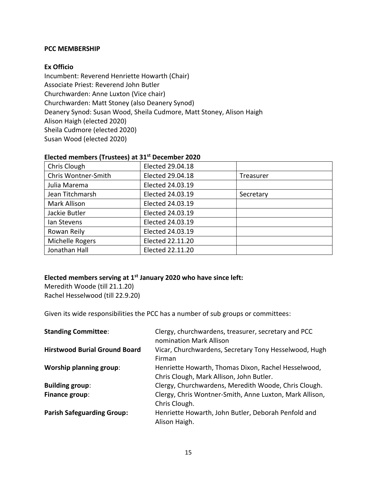#### **PCC MEMBERSHIP**

#### **Ex Officio**

Incumbent: Reverend Henriette Howarth (Chair) Associate Priest: Reverend John Butler Churchwarden: Anne Luxton (Vice chair) Churchwarden: Matt Stoney (also Deanery Synod) Deanery Synod: Susan Wood, Sheila Cudmore, Matt Stoney, Alison Haigh Alison Haigh (elected 2020) Sheila Cudmore (elected 2020) Susan Wood (elected 2020)

| LICOLOGITICITINGIS (TEMSCOOS) UC SIE POOCHINGI LULU |                  |           |  |
|-----------------------------------------------------|------------------|-----------|--|
| Chris Clough                                        | Elected 29.04.18 |           |  |
| Chris Wontner-Smith                                 | Elected 29.04.18 | Treasurer |  |
| Julia Marema                                        | Elected 24.03.19 |           |  |
| Jean Titchmarsh                                     | Elected 24.03.19 | Secretary |  |
| <b>Mark Allison</b>                                 | Elected 24.03.19 |           |  |
| Jackie Butler                                       | Elected 24.03.19 |           |  |
| Ian Stevens                                         | Elected 24.03.19 |           |  |
| Rowan Reily                                         | Elected 24.03.19 |           |  |
| Michelle Rogers                                     | Elected 22.11.20 |           |  |
| Jonathan Hall                                       | Elected 22.11.20 |           |  |

#### **Elected members (Trustees) at 31st December 2020**

#### **Elected members serving at 1st January 2020 who have since left:**

Meredith Woode (till 21.1.20) Rachel Hesselwood (till 22.9.20)

Given its wide responsibilities the PCC has a number of sub groups or committees:

| <b>Standing Committee:</b>           | Clergy, churchwardens, treasurer, secretary and PCC<br>nomination Mark Allison                  |
|--------------------------------------|-------------------------------------------------------------------------------------------------|
| <b>Hirstwood Burial Ground Board</b> | Vicar, Churchwardens, Secretary Tony Hesselwood, Hugh<br>Firman                                 |
| <b>Worship planning group:</b>       | Henriette Howarth, Thomas Dixon, Rachel Hesselwood,<br>Chris Clough, Mark Allison, John Butler. |
| <b>Building group:</b>               | Clergy, Churchwardens, Meredith Woode, Chris Clough.                                            |
| Finance group:                       | Clergy, Chris Wontner-Smith, Anne Luxton, Mark Allison,<br>Chris Clough.                        |
| <b>Parish Safeguarding Group:</b>    | Henriette Howarth, John Butler, Deborah Penfold and<br>Alison Haigh.                            |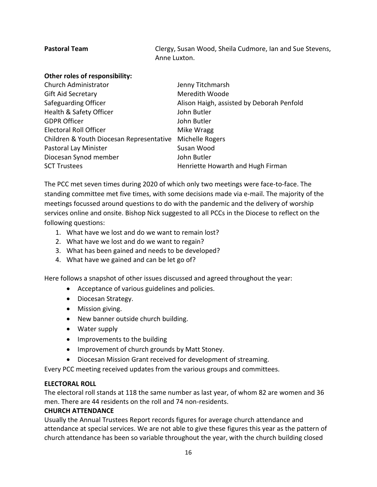| <b>Pastoral Team</b>           | Clergy, Susan Wood, Sheila Cudmore, Ian and Sue Stevens, |
|--------------------------------|----------------------------------------------------------|
|                                | Anne Luxton.                                             |
| Other roles of responsibility: |                                                          |

| Jenny Titchmarsh                          |
|-------------------------------------------|
| Meredith Woode                            |
| Alison Haigh, assisted by Deborah Penfold |
| John Butler                               |
| John Butler                               |
| Mike Wragg                                |
| Michelle Rogers                           |
| Susan Wood                                |
| John Butler                               |
| Henriette Howarth and Hugh Firman         |
| Children & Youth Diocesan Representative  |

The PCC met seven times during 2020 of which only two meetings were face-to-face. The standing committee met five times, with some decisions made via e-mail. The majority of the meetings focussed around questions to do with the pandemic and the delivery of worship services online and onsite. Bishop Nick suggested to all PCCs in the Diocese to reflect on the following questions:

- 1. What have we lost and do we want to remain lost?
- 2. What have we lost and do we want to regain?
- 3. What has been gained and needs to be developed?
- 4. What have we gained and can be let go of?

Here follows a snapshot of other issues discussed and agreed throughout the year:

- Acceptance of various guidelines and policies.
- Diocesan Strategy.
- Mission giving.
- New banner outside church building.
- Water supply
- Improvements to the building
- Improvement of church grounds by Matt Stoney.
- Diocesan Mission Grant received for development of streaming.

Every PCC meeting received updates from the various groups and committees.

#### **ELECTORAL ROLL**

The electoral roll stands at 118 the same number as last year, of whom 82 are women and 36 men. There are 44 residents on the roll and 74 non-residents.

#### **CHURCH ATTENDANCE**

Usually the Annual Trustees Report records figures for average church attendance and attendance at special services. We are not able to give these figures this year as the pattern of church attendance has been so variable throughout the year, with the church building closed